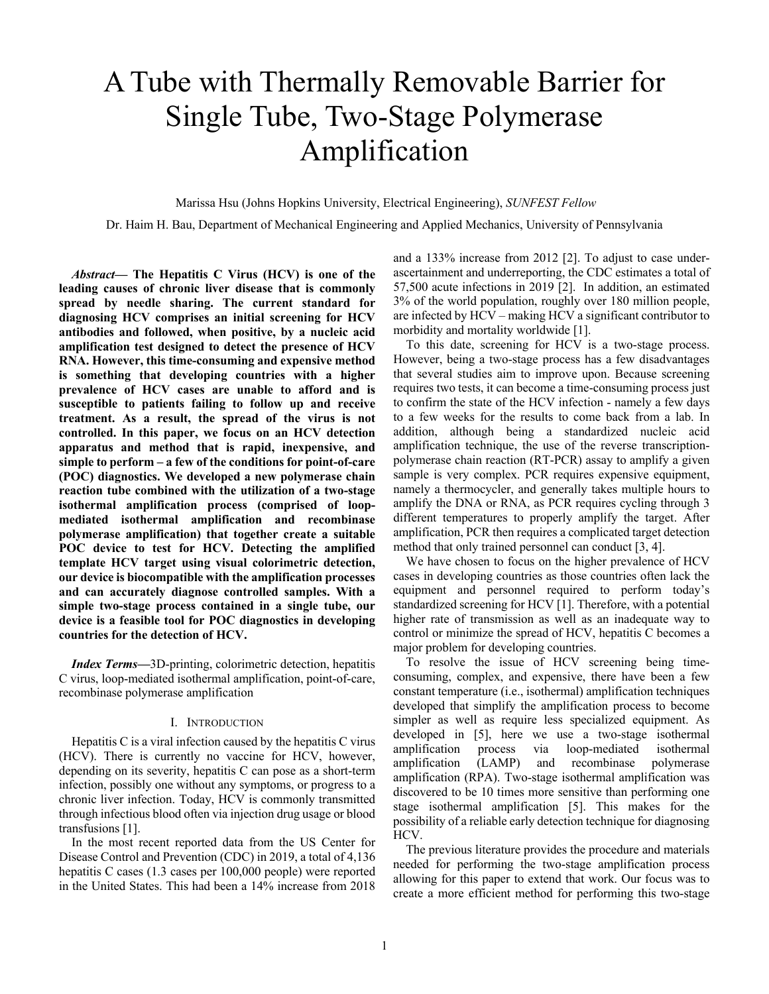# A Tube with Thermally Removable Barrier for Single Tube, Two-Stage Polymerase Amplification

Marissa Hsu (Johns Hopkins University, Electrical Engineering), *SUNFEST Fellow*

Dr. Haim H. Bau, Department of Mechanical Engineering and Applied Mechanics, University of Pennsylvania

*Abstract***— The Hepatitis C Virus (HCV) is one of the leading causes of chronic liver disease that is commonly spread by needle sharing. The current standard for diagnosing HCV comprises an initial screening for HCV antibodies and followed, when positive, by a nucleic acid amplification test designed to detect the presence of HCV RNA. However, this time-consuming and expensive method is something that developing countries with a higher prevalence of HCV cases are unable to afford and is susceptible to patients failing to follow up and receive treatment. As a result, the spread of the virus is not controlled. In this paper, we focus on an HCV detection apparatus and method that is rapid, inexpensive, and simple to perform – a few of the conditions for point-of-care (POC) diagnostics. We developed a new polymerase chain reaction tube combined with the utilization of a two-stage isothermal amplification process (comprised of loopmediated isothermal amplification and recombinase polymerase amplification) that together create a suitable POC device to test for HCV. Detecting the amplified template HCV target using visual colorimetric detection, our device is biocompatible with the amplification processes and can accurately diagnose controlled samples. With a simple two-stage process contained in a single tube, our device is a feasible tool for POC diagnostics in developing countries for the detection of HCV.**

*Index Terms***—**3D-printing, colorimetric detection, hepatitis C virus, loop-mediated isothermal amplification, point-of-care, recombinase polymerase amplification

#### I. INTRODUCTION

Hepatitis C is a viral infection caused by the hepatitis C virus (HCV). There is currently no vaccine for HCV, however, depending on its severity, hepatitis C can pose as a short-term infection, possibly one without any symptoms, or progress to a chronic liver infection. Today, HCV is commonly transmitted through infectious blood often via injection drug usage or blood transfusions [1].

In the most recent reported data from the US Center for Disease Control and Prevention (CDC) in 2019, a total of 4,136 hepatitis C cases (1.3 cases per 100,000 people) were reported in the United States. This had been a 14% increase from 2018 and a 133% increase from 2012 [2]. To adjust to case underascertainment and underreporting, the CDC estimates a total of 57,500 acute infections in 2019 [2]. In addition, an estimated 3% of the world population, roughly over 180 million people, are infected by HCV – making HCV a significant contributor to morbidity and mortality worldwide [1].

To this date, screening for HCV is a two-stage process. However, being a two-stage process has a few disadvantages that several studies aim to improve upon. Because screening requires two tests, it can become a time-consuming process just to confirm the state of the HCV infection - namely a few days to a few weeks for the results to come back from a lab. In addition, although being a standardized nucleic acid amplification technique, the use of the reverse transcriptionpolymerase chain reaction (RT-PCR) assay to amplify a given sample is very complex. PCR requires expensive equipment, namely a thermocycler, and generally takes multiple hours to amplify the DNA or RNA, as PCR requires cycling through 3 different temperatures to properly amplify the target. After amplification, PCR then requires a complicated target detection method that only trained personnel can conduct [3, 4].

We have chosen to focus on the higher prevalence of HCV cases in developing countries as those countries often lack the equipment and personnel required to perform today's standardized screening for HCV [1]. Therefore, with a potential higher rate of transmission as well as an inadequate way to control or minimize the spread of HCV, hepatitis C becomes a major problem for developing countries.

To resolve the issue of HCV screening being timeconsuming, complex, and expensive, there have been a few constant temperature (i.e., isothermal) amplification techniques developed that simplify the amplification process to become simpler as well as require less specialized equipment. As developed in [5], here we use a two-stage isothermal amplification process via loop-mediated isothermal amplification (LAMP) and recombinase polymerase amplification (RPA). Two-stage isothermal amplification was discovered to be 10 times more sensitive than performing one stage isothermal amplification [5]. This makes for the possibility of a reliable early detection technique for diagnosing HCV.

The previous literature provides the procedure and materials needed for performing the two-stage amplification process allowing for this paper to extend that work. Our focus was to create a more efficient method for performing this two-stage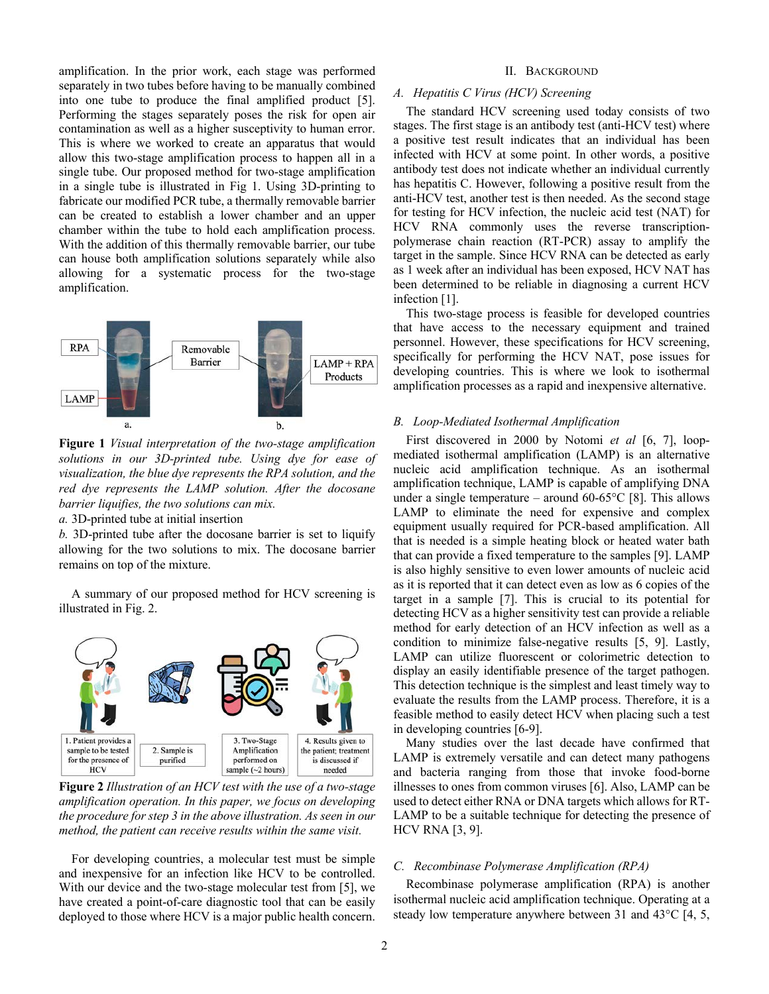amplification. In the prior work, each stage was performed separately in two tubes before having to be manually combined into one tube to produce the final amplified product [5]. Performing the stages separately poses the risk for open air contamination as well as a higher susceptivity to human error. This is where we worked to create an apparatus that would allow this two-stage amplification process to happen all in a single tube. Our proposed method for two-stage amplification in a single tube is illustrated in Fig 1. Using 3D-printing to fabricate our modified PCR tube, a thermally removable barrier can be created to establish a lower chamber and an upper chamber within the tube to hold each amplification process. With the addition of this thermally removable barrier, our tube can house both amplification solutions separately while also allowing for a systematic process for the two-stage amplification.



**Figure 1** *Visual interpretation of the two-stage amplification solutions in our 3D-printed tube. Using dye for ease of visualization, the blue dye represents the RPA solution, and the red dye represents the LAMP solution. After the docosane barrier liquifies, the two solutions can mix.* 

*a.* 3D-printed tube at initial insertion

*b.* 3D-printed tube after the docosane barrier is set to liquify allowing for the two solutions to mix. The docosane barrier remains on top of the mixture.

A summary of our proposed method for HCV screening is illustrated in Fig. 2.



**Figure 2** *Illustration of an HCV test with the use of a two-stage amplification operation. In this paper, we focus on developing the procedure for step 3 in the above illustration. As seen in our method, the patient can receive results within the same visit.*

For developing countries, a molecular test must be simple and inexpensive for an infection like HCV to be controlled. With our device and the two-stage molecular test from [5], we have created a point-of-care diagnostic tool that can be easily deployed to those where HCV is a major public health concern.

# II. BACKGROUND

# *A. Hepatitis C Virus (HCV) Screening*

The standard HCV screening used today consists of two stages. The first stage is an antibody test (anti-HCV test) where a positive test result indicates that an individual has been infected with HCV at some point. In other words, a positive antibody test does not indicate whether an individual currently has hepatitis C. However, following a positive result from the anti-HCV test, another test is then needed. As the second stage for testing for HCV infection, the nucleic acid test (NAT) for HCV RNA commonly uses the reverse transcriptionpolymerase chain reaction (RT-PCR) assay to amplify the target in the sample. Since HCV RNA can be detected as early as 1 week after an individual has been exposed, HCV NAT has been determined to be reliable in diagnosing a current HCV infection [1].

This two-stage process is feasible for developed countries that have access to the necessary equipment and trained personnel. However, these specifications for HCV screening, specifically for performing the HCV NAT, pose issues for developing countries. This is where we look to isothermal amplification processes as a rapid and inexpensive alternative.

# *B. Loop-Mediated Isothermal Amplification*

First discovered in 2000 by Notomi *et al* [6, 7], loopmediated isothermal amplification (LAMP) is an alternative nucleic acid amplification technique. As an isothermal amplification technique, LAMP is capable of amplifying DNA under a single temperature – around  $60-65^{\circ}C$  [8]. This allows LAMP to eliminate the need for expensive and complex equipment usually required for PCR-based amplification. All that is needed is a simple heating block or heated water bath that can provide a fixed temperature to the samples [9]. LAMP is also highly sensitive to even lower amounts of nucleic acid as it is reported that it can detect even as low as 6 copies of the target in a sample [7]. This is crucial to its potential for detecting HCV as a higher sensitivity test can provide a reliable method for early detection of an HCV infection as well as a condition to minimize false-negative results [5, 9]. Lastly, LAMP can utilize fluorescent or colorimetric detection to display an easily identifiable presence of the target pathogen. This detection technique is the simplest and least timely way to evaluate the results from the LAMP process. Therefore, it is a feasible method to easily detect HCV when placing such a test in developing countries [6-9].

Many studies over the last decade have confirmed that LAMP is extremely versatile and can detect many pathogens and bacteria ranging from those that invoke food-borne illnesses to ones from common viruses [6]. Also, LAMP can be used to detect either RNA or DNA targets which allows for RT-LAMP to be a suitable technique for detecting the presence of HCV RNA [3, 9].

#### *C. Recombinase Polymerase Amplification (RPA)*

Recombinase polymerase amplification (RPA) is another isothermal nucleic acid amplification technique. Operating at a steady low temperature anywhere between 31 and 43°C [4, 5,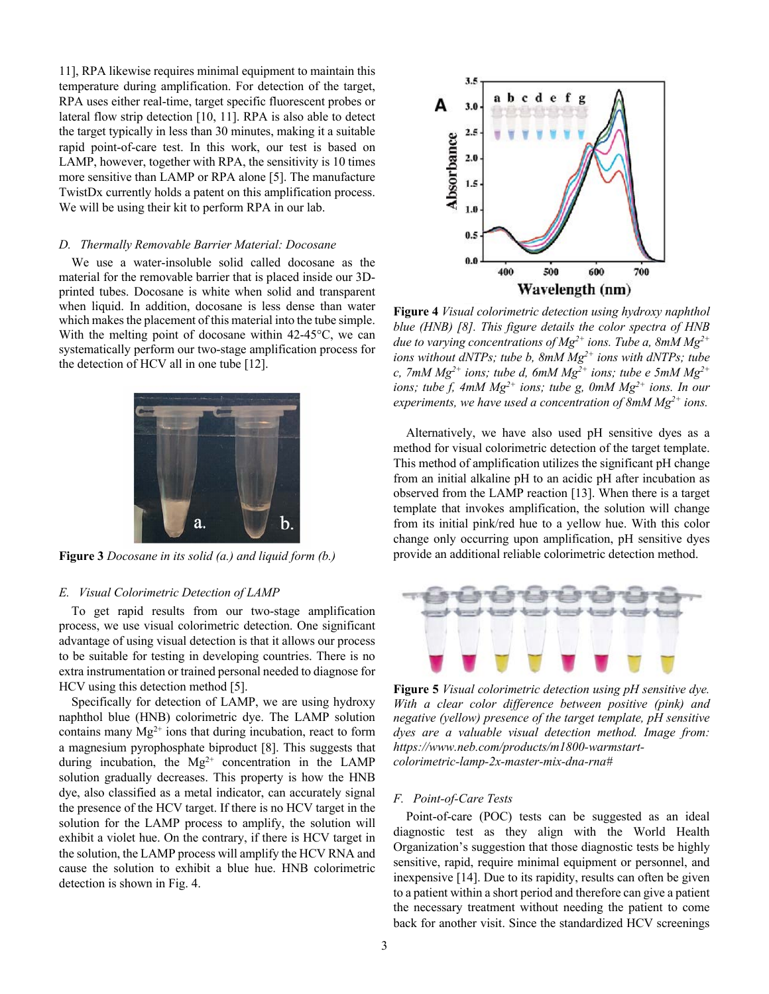11], RPA likewise requires minimal equipment to maintain this temperature during amplification. For detection of the target, RPA uses either real-time, target specific fluorescent probes or lateral flow strip detection [10, 11]. RPA is also able to detect the target typically in less than 30 minutes, making it a suitable rapid point-of-care test. In this work, our test is based on LAMP, however, together with RPA, the sensitivity is 10 times more sensitive than LAMP or RPA alone [5]. The manufacture TwistDx currently holds a patent on this amplification process. We will be using their kit to perform RPA in our lab.

#### *D. Thermally Removable Barrier Material: Docosane*

We use a water-insoluble solid called docosane as the material for the removable barrier that is placed inside our 3Dprinted tubes. Docosane is white when solid and transparent when liquid. In addition, docosane is less dense than water which makes the placement of this material into the tube simple. With the melting point of docosane within 42-45<sup>o</sup>C, we can systematically perform our two-stage amplification process for the detection of HCV all in one tube [12].



**Figure 3** *Docosane in its solid (a.) and liquid form (b.)*

# *E. Visual Colorimetric Detection of LAMP*

To get rapid results from our two-stage amplification process, we use visual colorimetric detection. One significant advantage of using visual detection is that it allows our process to be suitable for testing in developing countries. There is no extra instrumentation or trained personal needed to diagnose for HCV using this detection method [5].

Specifically for detection of LAMP, we are using hydroxy naphthol blue (HNB) colorimetric dye. The LAMP solution contains many  $Mg^{2+}$  ions that during incubation, react to form a magnesium pyrophosphate biproduct [8]. This suggests that during incubation, the  $Mg^{2+}$  concentration in the LAMP solution gradually decreases. This property is how the HNB dye, also classified as a metal indicator, can accurately signal the presence of the HCV target. If there is no HCV target in the solution for the LAMP process to amplify, the solution will exhibit a violet hue. On the contrary, if there is HCV target in the solution, the LAMP process will amplify the HCV RNA and cause the solution to exhibit a blue hue. HNB colorimetric detection is shown in Fig. 4.



**Figure 4** *Visual colorimetric detection using hydroxy naphthol blue (HNB) [8]. This figure details the color spectra of HNB due to varying concentrations of Mg2+ ions. Tube a, 8mM Mg2+ ions without dNTPs; tube b, 8mM Mg2+ ions with dNTPs; tube c, 7mM Mg2+ ions; tube d, 6mM Mg2+ ions; tube e 5mM Mg2+ ions; tube f, 4mM Mg<sup>2+</sup> <i>ions; tube g, 0mM Mg<sup>2+</sup> <i>ions. In our experiments, we have used a concentration of 8mM Mg2+ ions.* 

Alternatively, we have also used pH sensitive dyes as a method for visual colorimetric detection of the target template. This method of amplification utilizes the significant pH change from an initial alkaline pH to an acidic pH after incubation as observed from the LAMP reaction [13]. When there is a target template that invokes amplification, the solution will change from its initial pink/red hue to a yellow hue. With this color change only occurring upon amplification, pH sensitive dyes provide an additional reliable colorimetric detection method.



**Figure 5** *Visual colorimetric detection using pH sensitive dye. With a clear color difference between positive (pink) and negative (yellow) presence of the target template, pH sensitive dyes are a valuable visual detection method. Image from: https://www.neb.com/products/m1800-warmstartcolorimetric-lamp-2x-master-mix-dna-rna#*

# *F. Point-of-Care Tests*

Point-of-care (POC) tests can be suggested as an ideal diagnostic test as they align with the World Health Organization's suggestion that those diagnostic tests be highly sensitive, rapid, require minimal equipment or personnel, and inexpensive [14]. Due to its rapidity, results can often be given to a patient within a short period and therefore can give a patient the necessary treatment without needing the patient to come back for another visit. Since the standardized HCV screenings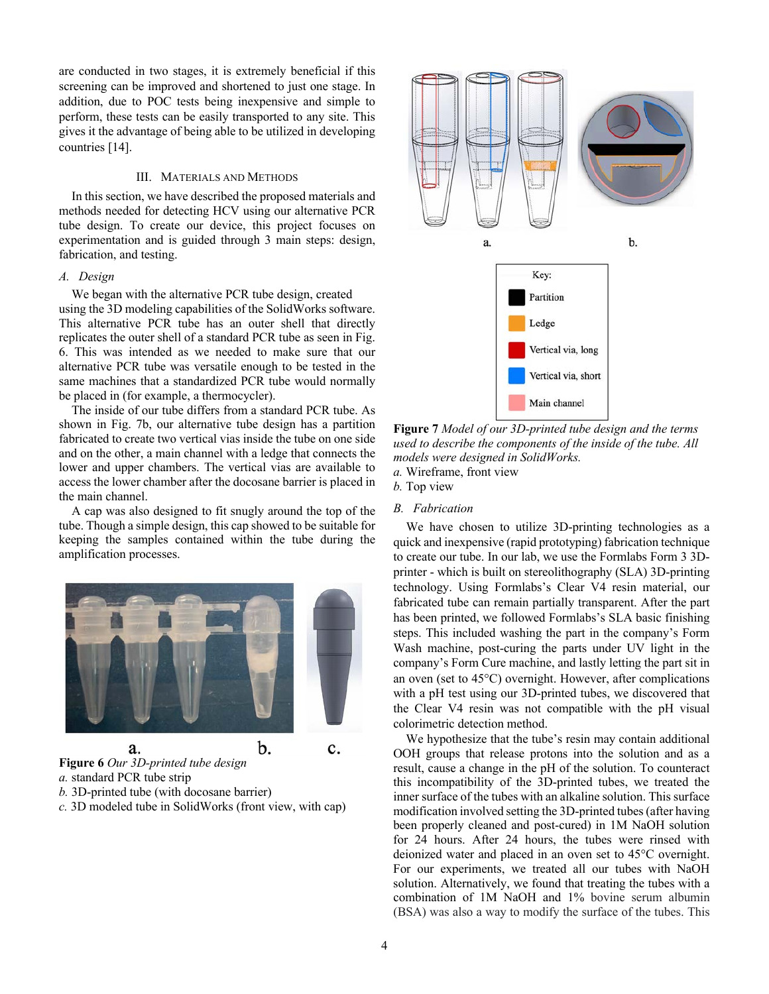are conducted in two stages, it is extremely beneficial if this screening can be improved and shortened to just one stage. In addition, due to POC tests being inexpensive and simple to perform, these tests can be easily transported to any site. This gives it the advantage of being able to be utilized in developing countries [14].

# III. MATERIALS AND METHODS

In this section, we have described the proposed materials and methods needed for detecting HCV using our alternative PCR tube design. To create our device, this project focuses on experimentation and is guided through 3 main steps: design, fabrication, and testing.

# *A. Design*

We began with the alternative PCR tube design, created using the 3D modeling capabilities of the SolidWorks software. This alternative PCR tube has an outer shell that directly replicates the outer shell of a standard PCR tube as seen in Fig. 6. This was intended as we needed to make sure that our alternative PCR tube was versatile enough to be tested in the same machines that a standardized PCR tube would normally be placed in (for example, a thermocycler).

The inside of our tube differs from a standard PCR tube. As shown in Fig. 7b, our alternative tube design has a partition fabricated to create two vertical vias inside the tube on one side and on the other, a main channel with a ledge that connects the lower and upper chambers. The vertical vias are available to access the lower chamber after the docosane barrier is placed in the main channel.

A cap was also designed to fit snugly around the top of the tube. Though a simple design, this cap showed to be suitable for keeping the samples contained within the tube during the amplification processes.



**Figure 6** *Our 3D-printed tube design a.* standard PCR tube strip *b.* 3D-printed tube (with docosane barrier)

*c.* 3D modeled tube in SolidWorks (front view, with cap)



**Figure 7** *Model of our 3D-printed tube design and the terms used to describe the components of the inside of the tube. All models were designed in SolidWorks. a.* Wireframe, front view

*b.* Top view

#### *B. Fabrication*

We have chosen to utilize 3D-printing technologies as a quick and inexpensive (rapid prototyping) fabrication technique to create our tube. In our lab, we use the Formlabs Form 3 3Dprinter - which is built on stereolithography (SLA) 3D-printing technology. Using Formlabs's Clear V4 resin material, our fabricated tube can remain partially transparent. After the part has been printed, we followed Formlabs's SLA basic finishing steps. This included washing the part in the company's Form Wash machine, post-curing the parts under UV light in the company's Form Cure machine, and lastly letting the part sit in an oven (set to 45°C) overnight. However, after complications with a pH test using our 3D-printed tubes, we discovered that the Clear V4 resin was not compatible with the pH visual colorimetric detection method.

We hypothesize that the tube's resin may contain additional OOH groups that release protons into the solution and as a result, cause a change in the pH of the solution. To counteract this incompatibility of the 3D-printed tubes, we treated the inner surface of the tubes with an alkaline solution. This surface modification involved setting the 3D-printed tubes (after having been properly cleaned and post-cured) in 1M NaOH solution for 24 hours. After 24 hours, the tubes were rinsed with deionized water and placed in an oven set to 45°C overnight. For our experiments, we treated all our tubes with NaOH solution. Alternatively, we found that treating the tubes with a combination of 1M NaOH and 1% bovine serum albumin (BSA) was also a way to modify the surface of the tubes. This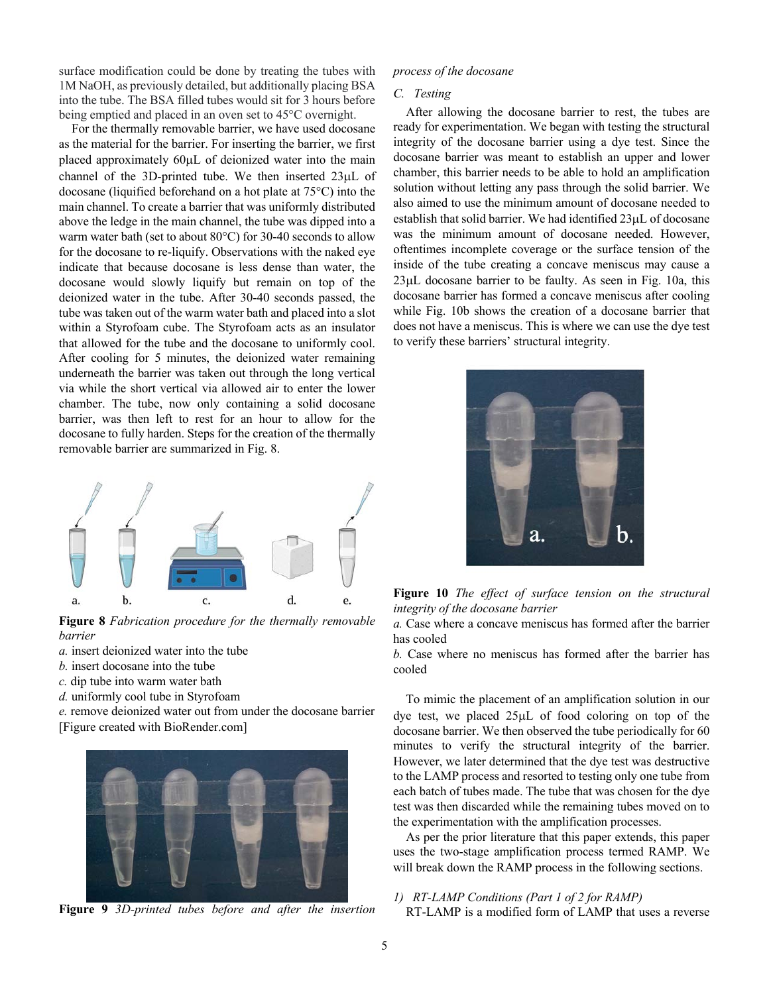surface modification could be done by treating the tubes with 1M NaOH, as previously detailed, but additionally placing BSA into the tube. The BSA filled tubes would sit for 3 hours before being emptied and placed in an oven set to 45°C overnight.

For the thermally removable barrier, we have used docosane as the material for the barrier. For inserting the barrier, we first placed approximately 60µL of deionized water into the main channel of the 3D-printed tube. We then inserted 23µL of docosane (liquified beforehand on a hot plate at 75°C) into the main channel. To create a barrier that was uniformly distributed above the ledge in the main channel, the tube was dipped into a warm water bath (set to about 80°C) for 30-40 seconds to allow for the docosane to re-liquify. Observations with the naked eye indicate that because docosane is less dense than water, the docosane would slowly liquify but remain on top of the deionized water in the tube. After 30-40 seconds passed, the tube was taken out of the warm water bath and placed into a slot within a Styrofoam cube. The Styrofoam acts as an insulator that allowed for the tube and the docosane to uniformly cool. After cooling for 5 minutes, the deionized water remaining underneath the barrier was taken out through the long vertical via while the short vertical via allowed air to enter the lower chamber. The tube, now only containing a solid docosane barrier, was then left to rest for an hour to allow for the docosane to fully harden. Steps for the creation of the thermally removable barrier are summarized in Fig. 8.



**Figure 8** *Fabrication procedure for the thermally removable barrier*

- *a.* insert deionized water into the tube
- *b.* insert docosane into the tube
- *c.* dip tube into warm water bath
- *d.* uniformly cool tube in Styrofoam

*e.* remove deionized water out from under the docosane barrier [Figure created with BioRender.com]



**Figure 9** *3D-printed tubes before and after the insertion* 

# *process of the docosane*

#### *C. Testing*

After allowing the docosane barrier to rest, the tubes are ready for experimentation. We began with testing the structural integrity of the docosane barrier using a dye test. Since the docosane barrier was meant to establish an upper and lower chamber, this barrier needs to be able to hold an amplification solution without letting any pass through the solid barrier. We also aimed to use the minimum amount of docosane needed to establish that solid barrier. We had identified 23µL of docosane was the minimum amount of docosane needed. However, oftentimes incomplete coverage or the surface tension of the inside of the tube creating a concave meniscus may cause a 23µL docosane barrier to be faulty. As seen in Fig. 10a, this docosane barrier has formed a concave meniscus after cooling while Fig. 10b shows the creation of a docosane barrier that does not have a meniscus. This is where we can use the dye test to verify these barriers' structural integrity.



**Figure 10** *The effect of surface tension on the structural integrity of the docosane barrier*

*a.* Case where a concave meniscus has formed after the barrier has cooled

*b.* Case where no meniscus has formed after the barrier has cooled

To mimic the placement of an amplification solution in our dye test, we placed 25µL of food coloring on top of the docosane barrier. We then observed the tube periodically for 60 minutes to verify the structural integrity of the barrier. However, we later determined that the dye test was destructive to the LAMP process and resorted to testing only one tube from each batch of tubes made. The tube that was chosen for the dye test was then discarded while the remaining tubes moved on to the experimentation with the amplification processes.

As per the prior literature that this paper extends, this paper uses the two-stage amplification process termed RAMP. We will break down the RAMP process in the following sections.

# *1) RT-LAMP Conditions (Part 1 of 2 for RAMP)*

RT-LAMP is a modified form of LAMP that uses a reverse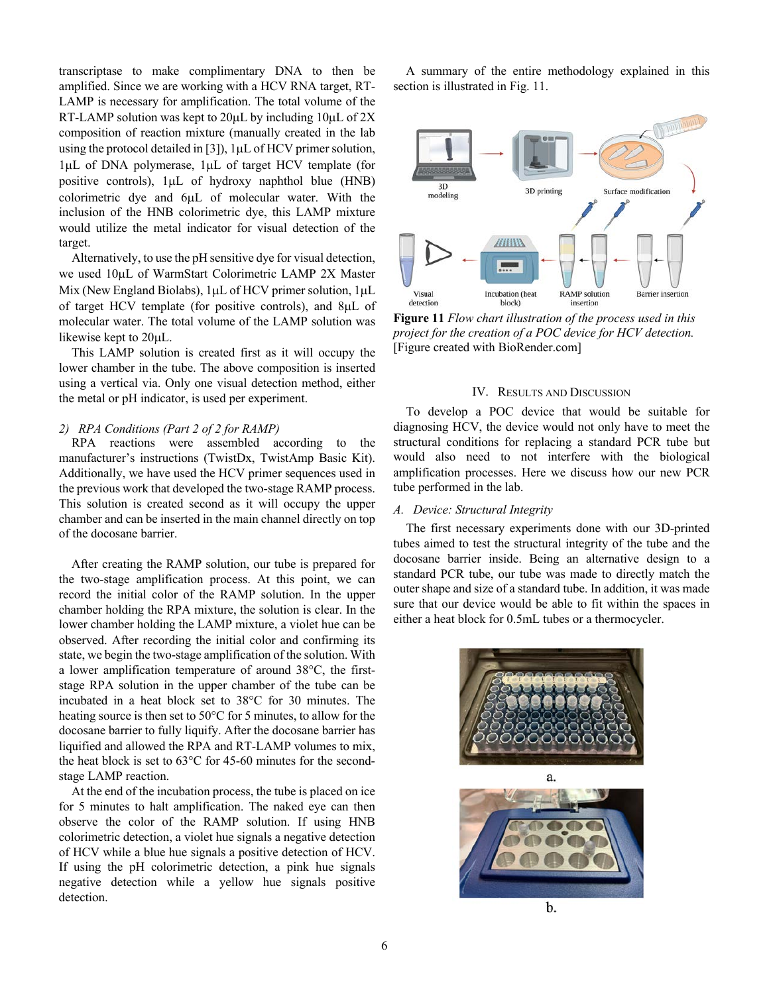transcriptase to make complimentary DNA to then be amplified. Since we are working with a HCV RNA target, RT-LAMP is necessary for amplification. The total volume of the RT-LAMP solution was kept to  $20\mu$ L by including  $10\mu$ L of  $2X$ composition of reaction mixture (manually created in the lab using the protocol detailed in [3]), 1µL of HCV primer solution, 1µL of DNA polymerase, 1µL of target HCV template (for positive controls), 1µL of hydroxy naphthol blue (HNB) colorimetric dye and 6µL of molecular water. With the inclusion of the HNB colorimetric dye, this LAMP mixture would utilize the metal indicator for visual detection of the target.

Alternatively, to use the pH sensitive dye for visual detection, we used 10µL of WarmStart Colorimetric LAMP 2X Master Mix (New England Biolabs), 1µL of HCV primer solution, 1µL of target HCV template (for positive controls), and 8µL of molecular water. The total volume of the LAMP solution was likewise kept to 20µL.

This LAMP solution is created first as it will occupy the lower chamber in the tube. The above composition is inserted using a vertical via. Only one visual detection method, either the metal or pH indicator, is used per experiment.

# *2) RPA Conditions (Part 2 of 2 for RAMP)*

RPA reactions were assembled according to the manufacturer's instructions (TwistDx, TwistAmp Basic Kit). Additionally, we have used the HCV primer sequences used in the previous work that developed the two-stage RAMP process. This solution is created second as it will occupy the upper chamber and can be inserted in the main channel directly on top of the docosane barrier.

After creating the RAMP solution, our tube is prepared for the two-stage amplification process. At this point, we can record the initial color of the RAMP solution. In the upper chamber holding the RPA mixture, the solution is clear. In the lower chamber holding the LAMP mixture, a violet hue can be observed. After recording the initial color and confirming its state, we begin the two-stage amplification of the solution. With a lower amplification temperature of around 38°C, the firststage RPA solution in the upper chamber of the tube can be incubated in a heat block set to 38°C for 30 minutes. The heating source is then set to 50°C for 5 minutes, to allow for the docosane barrier to fully liquify. After the docosane barrier has liquified and allowed the RPA and RT-LAMP volumes to mix, the heat block is set to 63°C for 45-60 minutes for the secondstage LAMP reaction.

At the end of the incubation process, the tube is placed on ice for 5 minutes to halt amplification. The naked eye can then observe the color of the RAMP solution. If using HNB colorimetric detection, a violet hue signals a negative detection of HCV while a blue hue signals a positive detection of HCV. If using the pH colorimetric detection, a pink hue signals negative detection while a yellow hue signals positive detection.

A summary of the entire methodology explained in this section is illustrated in Fig. 11.



**Figure 11** *Flow chart illustration of the process used in this project for the creation of a POC device for HCV detection.*  [Figure created with BioRender.com]

# IV. RESULTS AND DISCUSSION

To develop a POC device that would be suitable for diagnosing HCV, the device would not only have to meet the structural conditions for replacing a standard PCR tube but would also need to not interfere with the biological amplification processes. Here we discuss how our new PCR tube performed in the lab.

# *A. Device: Structural Integrity*

The first necessary experiments done with our 3D-printed tubes aimed to test the structural integrity of the tube and the docosane barrier inside. Being an alternative design to a standard PCR tube, our tube was made to directly match the outer shape and size of a standard tube. In addition, it was made sure that our device would be able to fit within the spaces in either a heat block for 0.5mL tubes or a thermocycler.

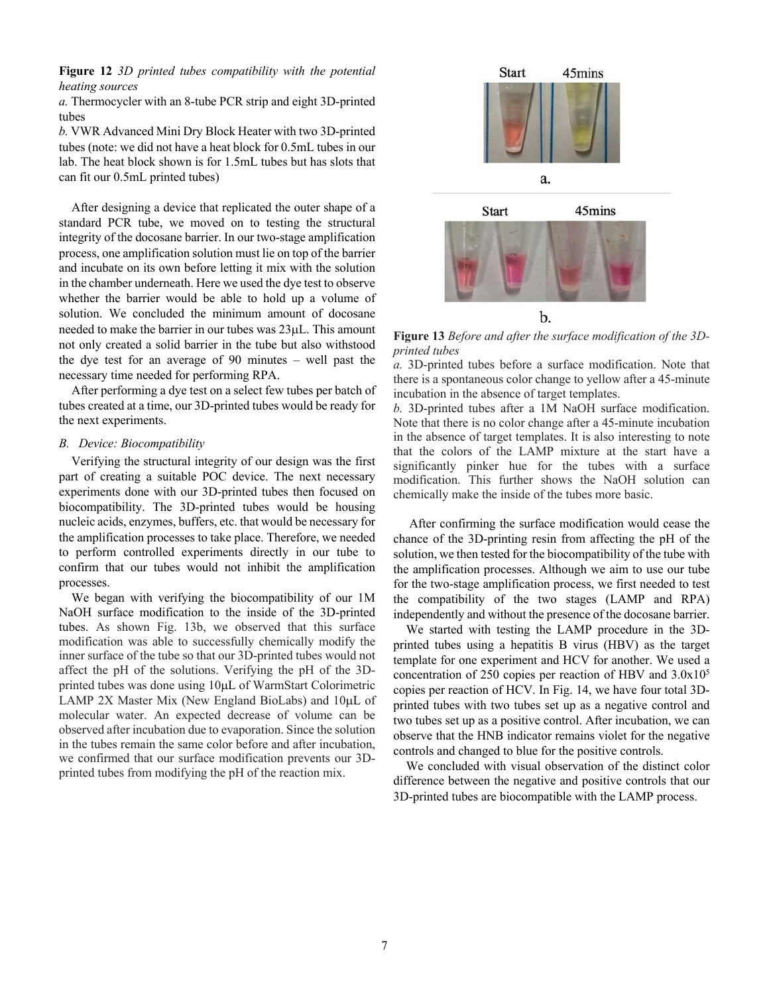# **Figure 12** *3D printed tubes compatibility with the potential heating sources*

*a.* Thermocycler with an 8-tube PCR strip and eight 3D-printed tubes

*b.* VWR Advanced Mini Dry Block Heater with two 3D-printed tubes (note: we did not have a heat block for 0.5mL tubes in our lab. The heat block shown is for 1.5mL tubes but has slots that can fit our 0.5mL printed tubes)

After designing a device that replicated the outer shape of a standard PCR tube, we moved on to testing the structural integrity of the docosane barrier. In our two-stage amplification process, one amplification solution must lie on top of the barrier and incubate on its own before letting it mix with the solution in the chamber underneath. Here we used the dye test to observe whether the barrier would be able to hold up a volume of solution. We concluded the minimum amount of docosane needed to make the barrier in our tubes was 23µL. This amount not only created a solid barrier in the tube but also withstood the dye test for an average of 90 minutes – well past the necessary time needed for performing RPA.

After performing a dye test on a select few tubes per batch of tubes created at a time, our 3D-printed tubes would be ready for the next experiments.

# *B. Device: Biocompatibility*

Verifying the structural integrity of our design was the first part of creating a suitable POC device. The next necessary experiments done with our 3D-printed tubes then focused on biocompatibility. The 3D-printed tubes would be housing nucleic acids, enzymes, buffers, etc. that would be necessary for the amplification processes to take place. Therefore, we needed to perform controlled experiments directly in our tube to confirm that our tubes would not inhibit the amplification processes.

We began with verifying the biocompatibility of our 1M NaOH surface modification to the inside of the 3D-printed tubes. As shown Fig. 13b, we observed that this surface modification was able to successfully chemically modify the inner surface of the tube so that our 3D-printed tubes would not affect the pH of the solutions. Verifying the pH of the 3Dprinted tubes was done using 10µL of WarmStart Colorimetric LAMP 2X Master Mix (New England BioLabs) and 10µL of molecular water. An expected decrease of volume can be observed after incubation due to evaporation. Since the solution in the tubes remain the same color before and after incubation, we confirmed that our surface modification prevents our 3Dprinted tubes from modifying the pH of the reaction mix.



**Figure 13** *Before and after the surface modification of the 3Dprinted tubes*

*a.* 3D-printed tubes before a surface modification. Note that there is a spontaneous color change to yellow after a 45-minute incubation in the absence of target templates.

*b.* 3D-printed tubes after a 1M NaOH surface modification. Note that there is no color change after a 45-minute incubation in the absence of target templates. It is also interesting to note that the colors of the LAMP mixture at the start have a significantly pinker hue for the tubes with a surface modification. This further shows the NaOH solution can chemically make the inside of the tubes more basic.

After confirming the surface modification would cease the chance of the 3D-printing resin from affecting the pH of the solution, we then tested for the biocompatibility of the tube with the amplification processes. Although we aim to use our tube for the two-stage amplification process, we first needed to test the compatibility of the two stages (LAMP and RPA) independently and without the presence of the docosane barrier.

We started with testing the LAMP procedure in the 3Dprinted tubes using a hepatitis B virus (HBV) as the target template for one experiment and HCV for another. We used a concentration of 250 copies per reaction of HBV and 3.0x105 copies per reaction of HCV. In Fig. 14, we have four total 3Dprinted tubes with two tubes set up as a negative control and two tubes set up as a positive control. After incubation, we can observe that the HNB indicator remains violet for the negative controls and changed to blue for the positive controls.

We concluded with visual observation of the distinct color difference between the negative and positive controls that our 3D-printed tubes are biocompatible with the LAMP process.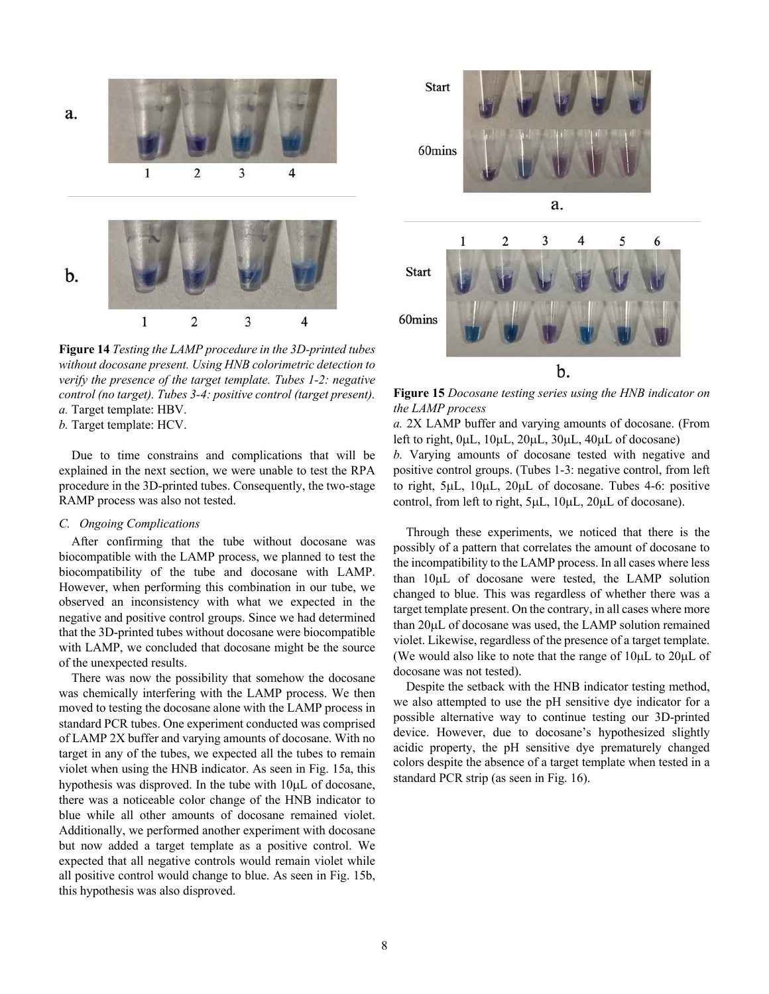

**Figure 14** *Testing the LAMP procedure in the 3D-printed tubes without docosane present. Using HNB colorimetric detection to verify the presence of the target template. Tubes 1-2: negative control (no target). Tubes 3-4: positive control (target present). a.* Target template: HBV.

*b.* Target template: HCV.

Due to time constrains and complications that will be explained in the next section, we were unable to test the RPA procedure in the 3D-printed tubes. Consequently, the two-stage RAMP process was also not tested.

# *C. Ongoing Complications*

After confirming that the tube without docosane was biocompatible with the LAMP process, we planned to test the biocompatibility of the tube and docosane with LAMP. However, when performing this combination in our tube, we observed an inconsistency with what we expected in the negative and positive control groups. Since we had determined that the 3D-printed tubes without docosane were biocompatible with LAMP, we concluded that docosane might be the source of the unexpected results.

There was now the possibility that somehow the docosane was chemically interfering with the LAMP process. We then moved to testing the docosane alone with the LAMP process in standard PCR tubes. One experiment conducted was comprised of LAMP 2X buffer and varying amounts of docosane. With no target in any of the tubes, we expected all the tubes to remain violet when using the HNB indicator. As seen in Fig. 15a, this hypothesis was disproved. In the tube with 10µL of docosane, there was a noticeable color change of the HNB indicator to blue while all other amounts of docosane remained violet. Additionally, we performed another experiment with docosane but now added a target template as a positive control. We expected that all negative controls would remain violet while all positive control would change to blue. As seen in Fig. 15b, this hypothesis was also disproved.



**Figure 15** *Docosane testing series using the HNB indicator on the LAMP process*

*a.* 2X LAMP buffer and varying amounts of docosane. (From left to right, 0µL, 10µL, 20µL, 30µL, 40µL of docosane) *b.* Varying amounts of docosane tested with negative and positive control groups. (Tubes 1-3: negative control, from left to right, 5µL, 10µL, 20µL of docosane. Tubes 4-6: positive control, from left to right, 5µL, 10µL, 20µL of docosane).

Through these experiments, we noticed that there is the possibly of a pattern that correlates the amount of docosane to the incompatibility to the LAMP process. In all cases where less than 10µL of docosane were tested, the LAMP solution changed to blue. This was regardless of whether there was a target template present. On the contrary, in all cases where more than 20µL of docosane was used, the LAMP solution remained violet. Likewise, regardless of the presence of a target template. (We would also like to note that the range of 10µL to 20µL of docosane was not tested).

Despite the setback with the HNB indicator testing method, we also attempted to use the pH sensitive dye indicator for a possible alternative way to continue testing our 3D-printed device. However, due to docosane's hypothesized slightly acidic property, the pH sensitive dye prematurely changed colors despite the absence of a target template when tested in a standard PCR strip (as seen in Fig. 16).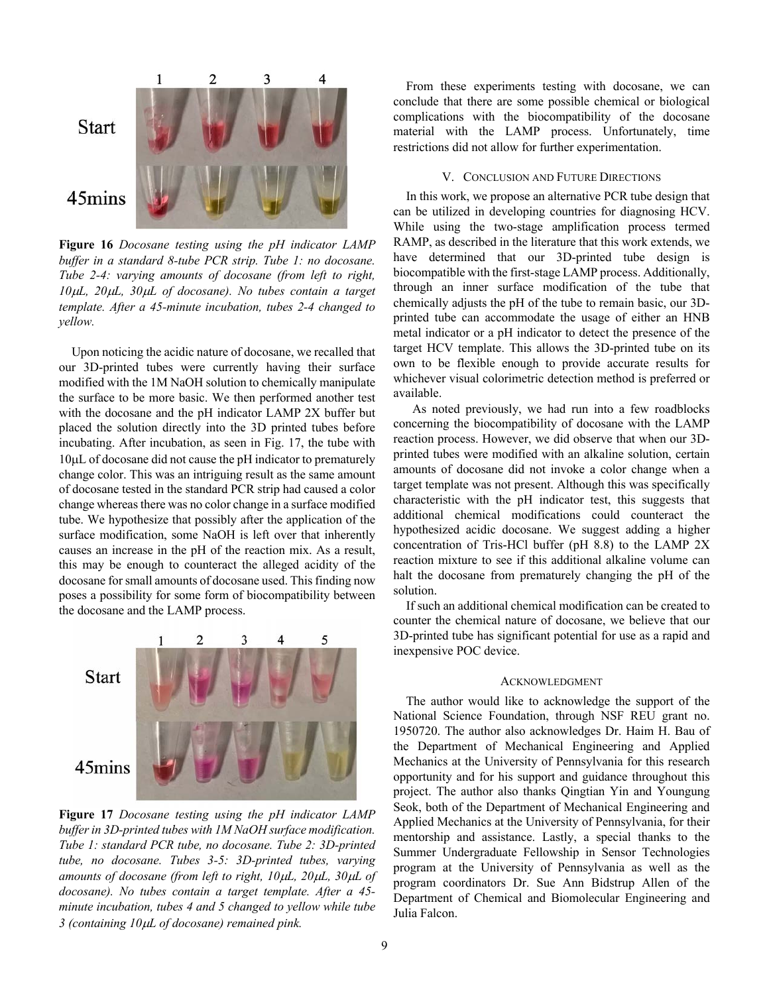![](_page_8_Figure_0.jpeg)

**Figure 16** *Docosane testing using the pH indicator LAMP buffer in a standard 8-tube PCR strip. Tube 1: no docosane. Tube 2-4: varying amounts of docosane (from left to right, 10*µ*L, 20*µ*L, 30*µ*L of docosane). No tubes contain a target template. After a 45-minute incubation, tubes 2-4 changed to yellow.*

Upon noticing the acidic nature of docosane, we recalled that our 3D-printed tubes were currently having their surface modified with the 1M NaOH solution to chemically manipulate the surface to be more basic. We then performed another test with the docosane and the pH indicator LAMP 2X buffer but placed the solution directly into the 3D printed tubes before incubating. After incubation, as seen in Fig. 17, the tube with 10µL of docosane did not cause the pH indicator to prematurely change color. This was an intriguing result as the same amount of docosane tested in the standard PCR strip had caused a color change whereas there was no color change in a surface modified tube. We hypothesize that possibly after the application of the surface modification, some NaOH is left over that inherently causes an increase in the pH of the reaction mix. As a result, this may be enough to counteract the alleged acidity of the docosane for small amounts of docosane used. This finding now poses a possibility for some form of biocompatibility between the docosane and the LAMP process.

![](_page_8_Figure_3.jpeg)

**Figure 17** *Docosane testing using the pH indicator LAMP buffer in 3D-printed tubes with 1M NaOH surface modification. Tube 1: standard PCR tube, no docosane. Tube 2: 3D-printed tube, no docosane. Tubes 3-5: 3D-printed tubes, varying amounts of docosane (from left to right, 10*µ*L, 20*µ*L, 30*µ*L of docosane). No tubes contain a target template. After a 45 minute incubation, tubes 4 and 5 changed to yellow while tube 3 (containing 10*µ*L of docosane) remained pink.*

From these experiments testing with docosane, we can conclude that there are some possible chemical or biological complications with the biocompatibility of the docosane material with the LAMP process. Unfortunately, time restrictions did not allow for further experimentation.

# V. CONCLUSION AND FUTURE DIRECTIONS

In this work, we propose an alternative PCR tube design that can be utilized in developing countries for diagnosing HCV. While using the two-stage amplification process termed RAMP, as described in the literature that this work extends, we have determined that our 3D-printed tube design is biocompatible with the first-stage LAMP process. Additionally, through an inner surface modification of the tube that chemically adjusts the pH of the tube to remain basic, our 3Dprinted tube can accommodate the usage of either an HNB metal indicator or a pH indicator to detect the presence of the target HCV template. This allows the 3D-printed tube on its own to be flexible enough to provide accurate results for whichever visual colorimetric detection method is preferred or available.

 As noted previously, we had run into a few roadblocks concerning the biocompatibility of docosane with the LAMP reaction process. However, we did observe that when our 3Dprinted tubes were modified with an alkaline solution, certain amounts of docosane did not invoke a color change when a target template was not present. Although this was specifically characteristic with the pH indicator test, this suggests that additional chemical modifications could counteract the hypothesized acidic docosane. We suggest adding a higher concentration of Tris-HCl buffer (pH 8.8) to the LAMP 2X reaction mixture to see if this additional alkaline volume can halt the docosane from prematurely changing the pH of the solution.

If such an additional chemical modification can be created to counter the chemical nature of docosane, we believe that our 3D-printed tube has significant potential for use as a rapid and inexpensive POC device.

#### ACKNOWLEDGMENT

The author would like to acknowledge the support of the National Science Foundation, through NSF REU grant no. 1950720. The author also acknowledges Dr. Haim H. Bau of the Department of Mechanical Engineering and Applied Mechanics at the University of Pennsylvania for this research opportunity and for his support and guidance throughout this project. The author also thanks Qingtian Yin and Youngung Seok, both of the Department of Mechanical Engineering and Applied Mechanics at the University of Pennsylvania, for their mentorship and assistance. Lastly, a special thanks to the Summer Undergraduate Fellowship in Sensor Technologies program at the University of Pennsylvania as well as the program coordinators Dr. Sue Ann Bidstrup Allen of the Department of Chemical and Biomolecular Engineering and Julia Falcon.